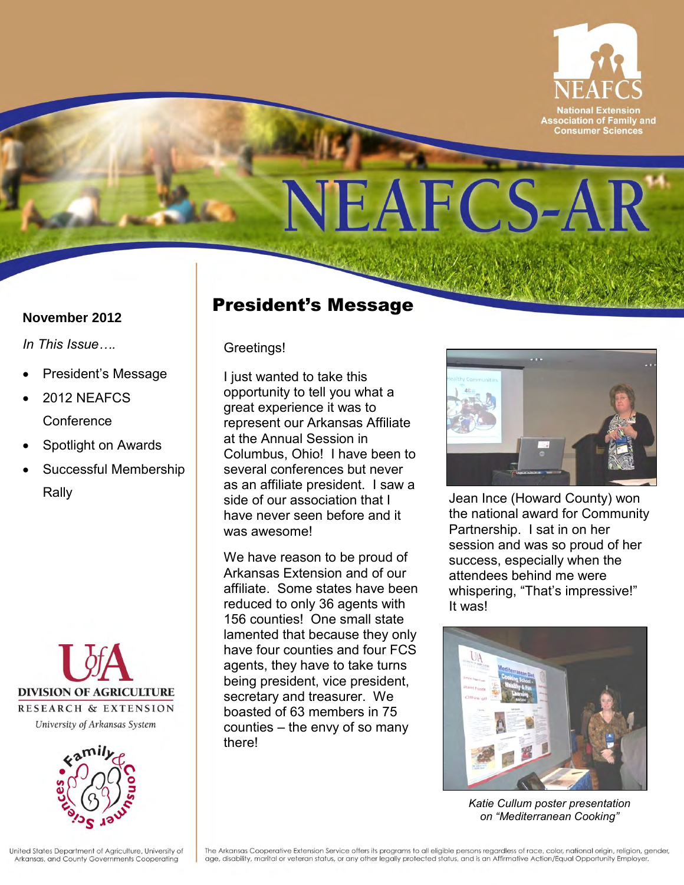

# NEAFCS-AR

#### **November 2012**

*In This Issue….* 

- President's Message
- 2012 NEAFCS **Conference**
- Spotlight on Awards
- Successful Membership Rally





### President's Message

Greetings!

 Columbus, Ohio! I have been to as an affiliate president. I saw a I just wanted to take this opportunity to tell you what a great experience it was to represent our Arkansas Affiliate at the Annual Session in several conferences but never side of our association that I have never seen before and it was awesome!

 We have reason to be proud of Arkansas Extension and of our affiliate. Some states have been boasted of 63 members in 75 counties – the envy of so many reduced to only 36 agents with 156 counties! One small state lamented that because they only have four counties and four FCS agents, they have to take turns being president, vice president, secretary and treasurer. We there!



 session and was so proud of her attendees behind me were whispering, "That's impressive!"<br>It was! Jean Ince (Howard County) won the national award for Community Partnership. I sat in on her success, especially when the



*Katie Cullum poster presentation on "Mediterranean Cooking"*

United States Department of Agriculture, University of Arkansas, and County Governments Cooperating

The Arkansas Cooperative Extension Service offers its programs to all eligible persons regardless of race, color, national origin, religion, gender, age, disability, marital or veteran status, or any other legally protected status, and is an Affirmative Action/Equal Opportunity Employer.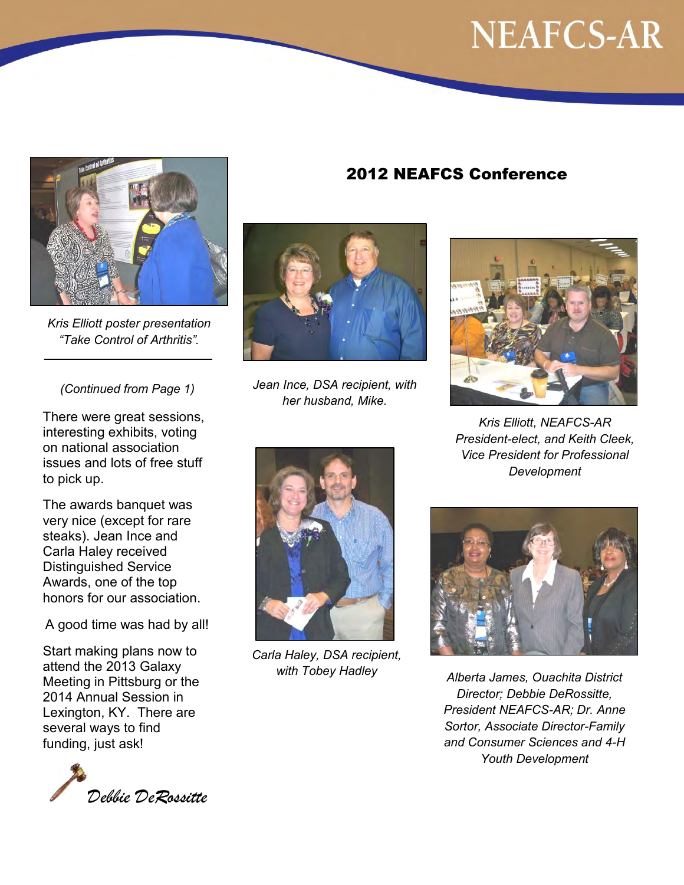### **NEAFCS-AR**



 *"Take Control of Arthritis". Kris Elliott poster presentation*

 *(Continued from Page 1)* 

 issues and lots of free stuff There were great sessions, interesting exhibits, voting on national association to pick up.

 steaks). Jean Ince and Awards, one of the top The awards banquet was very nice (except for rare Carla Haley received Distinguished Service honors for our association.

A good time was had by all!

Start making plans now to attend the 2013 Galaxy Meeting in Pittsburg or the 2014 Annual Session in Lexington, KY. There are several ways to find funding, just ask!



 *Jean Ince, DSA recipient, with her husband, Mike.*



2012 NEAFCS Conference

*Kris Elliott, NEAFCS-AR President-elect, and Keith Cleek, Vice President for Professional Development*



 *with Tobey Hadley Alberta James, Ouachita District President NEAFCS-AR; Dr. Anne Sortor, Associate Director-Family and Consumer Sciences and 4-H Director; Debbie DeRossitte, Youth Development* 



 *Carla Haley, DSA recipient,*